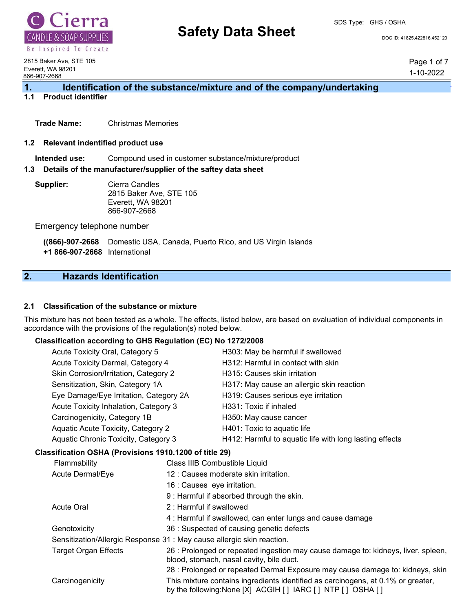

# **Safety Data Sheet** Decree Doc ID: 41825.422816.452120

SDS Type: GHS / OSHA

2815 Baker Ave, STE 105 Everett, WA 98201 866-907-2668

Page 1 of 7 1-10-2022

### 1. **Identification of the substance/mixture and of the company/undertaking 1.1 Product identifier**

**Trade Name:** Christmas Memories

#### **1.2 Relevant indentified product use**

**Intended use:** Compound used in customer substance/mixture/product

#### **1.3 Details of the manufacturer/supplier of the saftey data sheet**

**Supplier:** Cierra Candles 2815 Baker Ave, STE 105 Everett, WA 98201 866-907-2668

Emergency telephone number

**((866)-907-2668** Domestic USA, Canada, Puerto Rico, and US Virgin Islands

**+1 866-907-2668** International

# **2. Hazards Identification**

#### **2.1 Classification of the substance or mixture**

This mixture has not been tested as a whole. The effects, listed below, are based on evaluation of individual components in accordance with the provisions of the regulation(s) noted below.

#### **Classification according to GHS Regulation (EC) No 1272/2008**

| Acute Toxicity Oral, Category 5                        |  | H303: May be harmful if swallowed                       |
|--------------------------------------------------------|--|---------------------------------------------------------|
| Acute Toxicity Dermal, Category 4                      |  | H312: Harmful in contact with skin                      |
| Skin Corrosion/Irritation, Category 2                  |  | H315: Causes skin irritation                            |
| Sensitization, Skin, Category 1A                       |  | H317: May cause an allergic skin reaction               |
| Eye Damage/Eye Irritation, Category 2A                 |  | H319: Causes serious eye irritation                     |
| Acute Toxicity Inhalation, Category 3                  |  | H331: Toxic if inhaled                                  |
| Carcinogenicity, Category 1B                           |  | H350: May cause cancer                                  |
| Aquatic Acute Toxicity, Category 2                     |  | H401: Toxic to aquatic life                             |
| Aquatic Chronic Toxicity, Category 3                   |  | H412: Harmful to aquatic life with long lasting effects |
| Classification OSHA (Provisions 1910.1200 of title 29) |  |                                                         |
| Flammability                                           |  | Class IIIB Combustible Liquid                           |
| Acute Dermal/Eye                                       |  | 12 : Causes moderate skin irritation.                   |

16 : Causes eye irritation. 9 : Harmful if absorbed through the skin. Acute Oral 2 : Harmful if swallowed 4 : Harmful if swallowed, can enter lungs and cause damage Genotoxicity 36 : Suspected of causing genetic defects Sensitization/Allergic Response 31 : May cause allergic skin reaction. Target Organ Effects 26 : Prolonged or repeated ingestion may cause damage to: kidneys, liver, spleen, blood, stomach, nasal cavity, bile duct. 28 : Prolonged or repeated Dermal Exposure may cause damage to: kidneys, skin Carcinogenicity This mixture contains ingredients identified as carcinogens, at 0.1% or greater, by the following:None [X] ACGIH [ ] IARC [ ] NTP [ ] OSHA [ ]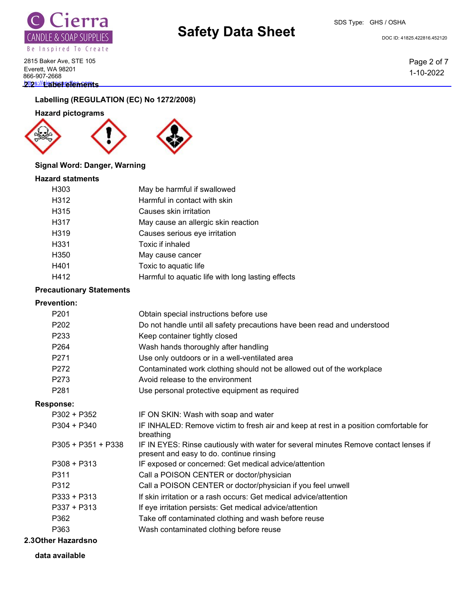

# **Safety Data Sheet** Doc ID: 41825.422816.452120

SDS Type: GHS / OSHA

2815 Baker Ave, STE 105 Everett, WA 98201 866-907-2668 **2ttps://cierreflements** 

## **Labelling (REGULATION (EC) No 1272/2008)**

**Hazard pictograms**



### **Signal Word: Danger, Warning**

### **Hazard statments**

| H <sub>303</sub>  | May be harmful if swallowed                       |
|-------------------|---------------------------------------------------|
| H312              | Harmful in contact with skin                      |
| H315              | Causes skin irritation                            |
| H317              | May cause an allergic skin reaction               |
| H <sub>3</sub> 19 | Causes serious eye irritation                     |
| H <sub>331</sub>  | Toxic if inhaled                                  |
| H <sub>350</sub>  | May cause cancer                                  |
| H401              | Toxic to aquatic life                             |
| H412              | Harmful to aquatic life with long lasting effects |
|                   |                                                   |

# **Precautionary Statements**

#### **Prevention:**

| P <sub>201</sub> | Obtain special instructions before use                                   |
|------------------|--------------------------------------------------------------------------|
| P <sub>202</sub> | Do not handle until all safety precautions have been read and understood |
| P <sub>233</sub> | Keep container tightly closed                                            |
| P <sub>264</sub> | Wash hands thoroughly after handling                                     |
| P <sub>271</sub> | Use only outdoors or in a well-ventilated area                           |
| P272             | Contaminated work clothing should not be allowed out of the workplace    |
| P273             | Avoid release to the environment                                         |
| P <sub>281</sub> | Use personal protective equipment as required                            |
|                  |                                                                          |

#### **Response:**

| $P302 + P352$        | IF ON SKIN: Wash with soap and water                                                                                             |
|----------------------|----------------------------------------------------------------------------------------------------------------------------------|
| $P304 + P340$        | IF INHALED: Remove victim to fresh air and keep at rest in a position comfortable for<br>breathing                               |
| $P305 + P351 + P338$ | IF IN EYES: Rinse cautiously with water for several minutes Remove contact lenses if<br>present and easy to do. continue rinsing |
| $P308 + P313$        | IF exposed or concerned: Get medical advice/attention                                                                            |
| P311                 | Call a POISON CENTER or doctor/physician                                                                                         |
| P312                 | Call a POISON CENTER or doctor/physician if you feel unwell                                                                      |
| P333 + P313          | If skin irritation or a rash occurs: Get medical advice/attention                                                                |
| P337 + P313          | If eye irritation persists: Get medical advice/attention                                                                         |
| P362                 | Take off contaminated clothing and wash before reuse                                                                             |
| P363                 | Wash contaminated clothing before reuse                                                                                          |
|                      |                                                                                                                                  |

# **2.3Other Hazardsno**

**data available**

Page 2 of 7 1-10-2022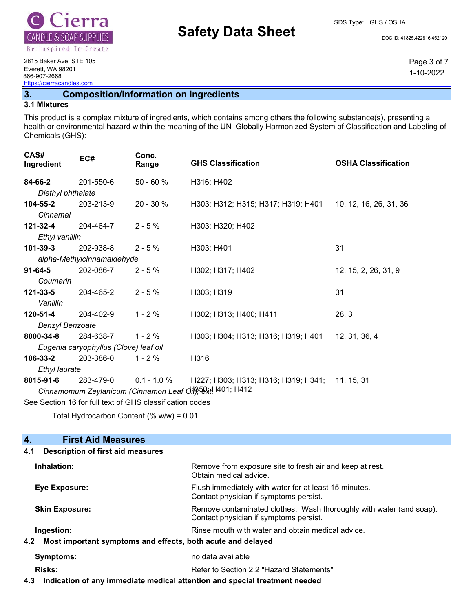

# **Safety Data Sheet** Doc ID: 41825.422816.452120

SDS Type: GHS / OSHA

Page 3 of 7 1-10-2022

2815 Baker Ave, STE 105 Everett, WA 98201 866-907-2668 https://cierracandles.com

# **3. Composition/Information on Ingredients**

#### **3.1 Mixtures**

This product is a complex mixture of ingredients, which contains among others the following substance(s), presenting a health or environmental hazard within the meaning of the UN Globally Harmonized System of Classification and Labeling of Chemicals (GHS):

| CAS#<br>Ingredient                                       | EC#                                   | Conc.<br>Range | <b>GHS Classification</b>           | <b>OSHA Classification</b> |
|----------------------------------------------------------|---------------------------------------|----------------|-------------------------------------|----------------------------|
| 84-66-2                                                  | 201-550-6                             | $50 - 60 %$    | H316; H402                          |                            |
| Diethyl phthalate                                        |                                       |                |                                     |                            |
| 104-55-2                                                 | 203-213-9                             | $20 - 30%$     | H303; H312; H315; H317; H319; H401  | 10, 12, 16, 26, 31, 36     |
| Cinnamal                                                 |                                       |                |                                     |                            |
| 121-32-4                                                 | 204-464-7                             | $2 - 5%$       | H303; H320; H402                    |                            |
| Ethyl vanillin                                           |                                       |                |                                     |                            |
| $101 - 39 - 3$                                           | 202-938-8                             | $2 - 5%$       | H303; H401                          | 31                         |
|                                                          | alpha-Methylcinnamaldehyde            |                |                                     |                            |
| $91 - 64 - 5$                                            | 202-086-7                             | $2 - 5%$       | H302; H317; H402                    | 12, 15, 2, 26, 31, 9       |
| Coumarin                                                 |                                       |                |                                     |                            |
| 121-33-5                                                 | 204-465-2                             | $2 - 5%$       | H303; H319                          | 31                         |
| Vanillin                                                 |                                       |                |                                     |                            |
| $120 - 51 - 4$                                           | 204-402-9                             | $1 - 2%$       | H302; H313; H400; H411              | 28, 3                      |
| <b>Benzyl Benzoate</b>                                   |                                       |                |                                     |                            |
| 8000-34-8                                                | 284-638-7                             | $1 - 2%$       | H303; H304; H313; H316; H319; H401  | 12, 31, 36, 4              |
|                                                          | Eugenia caryophyllus (Clove) leaf oil |                |                                     |                            |
| 106-33-2                                                 | 203-386-0                             | $1 - 2%$       | H316                                |                            |
| Ethyl laurate                                            |                                       |                |                                     |                            |
| 8015-91-6                                                | 283-479-0                             | $0.1 - 1.0 %$  | H227; H303; H313; H316; H319; H341; | 11, 15, 31                 |
| Cinnamomum Zeylanicum (Cinnamon Leaf On) 52xtH401; H412  |                                       |                |                                     |                            |
| See Section 16 for full text of GHS classification codes |                                       |                |                                     |                            |

Total Hydrocarbon Content (% w/w) = 0.01

#### **4. First Aid Measures 4.1 Description of first aid measures**

| Inhalation:                                                        | Remove from exposure site to fresh air and keep at rest.<br>Obtain medical advice.                            |
|--------------------------------------------------------------------|---------------------------------------------------------------------------------------------------------------|
| Eye Exposure:                                                      | Flush immediately with water for at least 15 minutes.<br>Contact physician if symptoms persist.               |
| <b>Skin Exposure:</b>                                              | Remove contaminated clothes. Wash thoroughly with water (and soap).<br>Contact physician if symptoms persist. |
| Ingestion:                                                         | Rinse mouth with water and obtain medical advice.                                                             |
| Most important symptoms and effects, both acute and delayed<br>4.2 |                                                                                                               |
| Symptoms:                                                          | no data available                                                                                             |
| <b>Risks:</b>                                                      | Refer to Section 2.2 "Hazard Statements"                                                                      |
|                                                                    |                                                                                                               |

**4.3 Indication of any immediate medical attention and special treatment needed**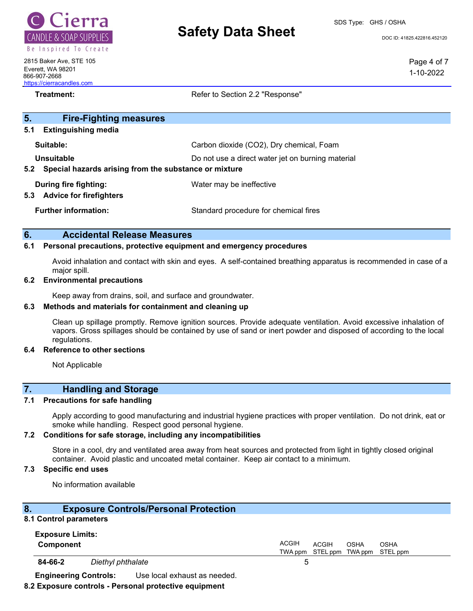

# **Safety Data Sheet** Dec<sub>LD: 41825.422816.452120</sub>

Page 4 of 7 1-10-2022

2815 Baker Ave, STE 105 Everett, WA 98201 866-907-2668 https://cierracandles.com

**Treatment:** Treatment: Refer to Section 2.2 "Response"

| 5.<br><b>Fire-Fighting measures</b>                            |                                                   |  |
|----------------------------------------------------------------|---------------------------------------------------|--|
| <b>Extinguishing media</b><br>5.1                              |                                                   |  |
| Suitable:                                                      | Carbon dioxide (CO2), Dry chemical, Foam          |  |
| Unsuitable                                                     | Do not use a direct water jet on burning material |  |
| Special hazards arising from the substance or mixture<br>5.2   |                                                   |  |
| During fire fighting:<br><b>Advice for firefighters</b><br>5.3 | Water may be ineffective                          |  |
| <b>Further information:</b>                                    | Standard procedure for chemical fires             |  |

#### **6. Accidental Release Measures**

#### **6.1 Personal precautions, protective equipment and emergency procedures**

Avoid inhalation and contact with skin and eyes. A self-contained breathing apparatus is recommended in case of a major spill.

#### **6.2 Environmental precautions**

Keep away from drains, soil, and surface and groundwater.

#### **6.3 Methods and materials for containment and cleaning up**

Clean up spillage promptly. Remove ignition sources. Provide adequate ventilation. Avoid excessive inhalation of vapors. Gross spillages should be contained by use of sand or inert powder and disposed of according to the local regulations.

#### **6.4 Reference to other sections**

Not Applicable

### **7. Handling and Storage**

#### **7.1 Precautions for safe handling**

Apply according to good manufacturing and industrial hygiene practices with proper ventilation. Do not drink, eat or smoke while handling. Respect good personal hygiene.

#### **7.2 Conditions for safe storage, including any incompatibilities**

Store in a cool, dry and ventilated area away from heat sources and protected from light in tightly closed original container. Avoid plastic and uncoated metal container. Keep air contact to a minimum.

### **7.3 Specific end uses**

No information available

# **8. Exposure Controls/Personal Protection**

#### **8.1 Control parameters**

| <b>Exposure Limits:</b><br>Component |                   |                              | <b>ACGIH</b> | <b>ACGIH</b> | OSHA | OSHA<br>TWA ppm STEL ppm TWA ppm STEL ppm |  |
|--------------------------------------|-------------------|------------------------------|--------------|--------------|------|-------------------------------------------|--|
| 84-66-2                              | Diethyl phthalate |                              | 5            |              |      |                                           |  |
| <b>Engineering Controls:</b>         |                   | Use local exhaust as needed. |              |              |      |                                           |  |

#### **8.2 Exposure controls - Personal protective equipment**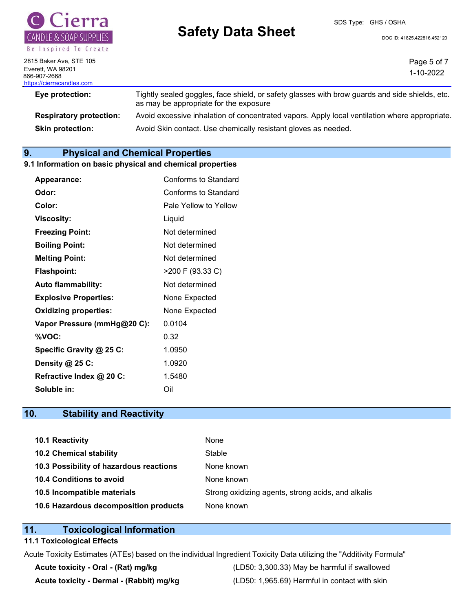

# **Safety Data Sheet** Dec<sub>LD: 41825.422816.452120</sub>

SDS Type: GHS / OSHA

Page 5 of 7

2815 Baker Ave, STE 105 Everett, WA 98201 866-907-2668 https://cierracandles.com

1-10-2022 **Eye protection:** Tightly sealed goggles, face shield, or safety glasses with brow guards and side shields, etc.

as may be appropriate for the exposure **Respiratory protection:** Avoid excessive inhalation of concentrated vapors. Apply local ventilation where appropriate. **Skin protection:** Avoid Skin contact. Use chemically resistant gloves as needed.

# **9. Physical and Chemical Properties**

# **9.1 Information on basic physical and chemical properties**

| <b>Appearance:</b>           | Conforms to Standard  |
|------------------------------|-----------------------|
| Odor:                        | Conforms to Standard  |
| Color:                       | Pale Yellow to Yellow |
| Viscosity:                   | Liquid                |
| <b>Freezing Point:</b>       | Not determined        |
| <b>Boiling Point:</b>        | Not determined        |
| <b>Melting Point:</b>        | Not determined        |
| <b>Flashpoint:</b>           | >200 F (93.33 C)      |
| <b>Auto flammability:</b>    | Not determined        |
| <b>Explosive Properties:</b> | None Expected         |
| <b>Oxidizing properties:</b> | None Expected         |
| Vapor Pressure (mmHg@20 C):  | 0.0104                |
| %VOC:                        | 0.32                  |
| Specific Gravity @ 25 C:     | 1.0950                |
| Density @ 25 C:              | 1.0920                |
| Refractive Index @ 20 C:     | 1.5480                |
| Soluble in:                  | Oil                   |

# **10. Stability and Reactivity**

| 10.1 Reactivity                         | None                                               |
|-----------------------------------------|----------------------------------------------------|
| <b>10.2 Chemical stability</b>          | Stable                                             |
| 10.3 Possibility of hazardous reactions | None known                                         |
| 10.4 Conditions to avoid                | None known                                         |
| 10.5 Incompatible materials             | Strong oxidizing agents, strong acids, and alkalis |
| 10.6 Hazardous decomposition products   | None known                                         |

# **11. Toxicological Information**

# **11.1 Toxicological Effects**

Acute Toxicity Estimates (ATEs) based on the individual Ingredient Toxicity Data utilizing the "Additivity Formula"

**Acute toxicity - Oral - (Rat) mg/kg** (LD50: 3,300.33) May be harmful if swallowed **Acute toxicity - Dermal - (Rabbit) mg/kg** (LD50: 1,965.69) Harmful in contact with skin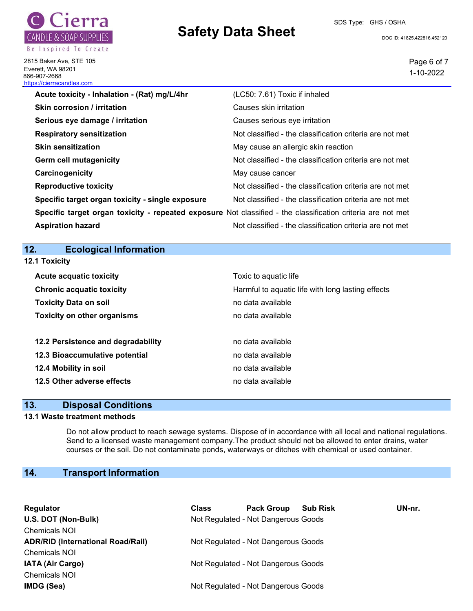

2815 Baker Ave, STE 105 Everett, WA 98201

# **Safety Data Sheet** Doc ID: 41825.422816.452120

SDS Type: GHS / OSHA

Page 6 of 7 1-10-2022

| 1-10-                                                                                                       |
|-------------------------------------------------------------------------------------------------------------|
| (LC50: 7.61) Toxic if inhaled                                                                               |
| Causes skin irritation                                                                                      |
| Causes serious eye irritation                                                                               |
| Not classified - the classification criteria are not met                                                    |
| May cause an allergic skin reaction                                                                         |
| Not classified - the classification criteria are not met                                                    |
| May cause cancer                                                                                            |
| Not classified - the classification criteria are not met                                                    |
| Not classified - the classification criteria are not met                                                    |
| Specific target organ toxicity - repeated exposure Not classified - the classification criteria are not met |
| Not classified - the classification criteria are not met                                                    |
|                                                                                                             |

# **12. Ecological Information**

| 12.1 Toxicity                      |                                                   |
|------------------------------------|---------------------------------------------------|
| <b>Acute acquatic toxicity</b>     | Toxic to aquatic life                             |
| <b>Chronic acquatic toxicity</b>   | Harmful to aquatic life with long lasting effects |
| <b>Toxicity Data on soil</b>       | no data available                                 |
| <b>Toxicity on other organisms</b> | no data available                                 |
| 12.2 Persistence and degradability | no data available                                 |
| 12.3 Bioaccumulative potential     | no data available                                 |
| 12.4 Mobility in soil              | no data available                                 |
| 12.5 Other adverse effects         | no data available                                 |

# **13. Disposal Conditions**

#### **13.1 Waste treatment methods**

Do not allow product to reach sewage systems. Dispose of in accordance with all local and national regulations. Send to a licensed waste management company.The product should not be allowed to enter drains, water courses or the soil. Do not contaminate ponds, waterways or ditches with chemical or used container.

# **14. Transport Information**

| Regulator                                | <b>Class</b> | <b>Pack Group</b>                   | <b>Sub Risk</b> | UN-nr. |
|------------------------------------------|--------------|-------------------------------------|-----------------|--------|
| U.S. DOT (Non-Bulk)                      |              | Not Regulated - Not Dangerous Goods |                 |        |
| <b>Chemicals NOI</b>                     |              |                                     |                 |        |
| <b>ADR/RID (International Road/Rail)</b> |              | Not Regulated - Not Dangerous Goods |                 |        |
| <b>Chemicals NOI</b>                     |              |                                     |                 |        |
| <b>IATA (Air Cargo)</b>                  |              | Not Regulated - Not Dangerous Goods |                 |        |
| <b>Chemicals NOI</b>                     |              |                                     |                 |        |
| IMDG (Sea)                               |              | Not Regulated - Not Dangerous Goods |                 |        |